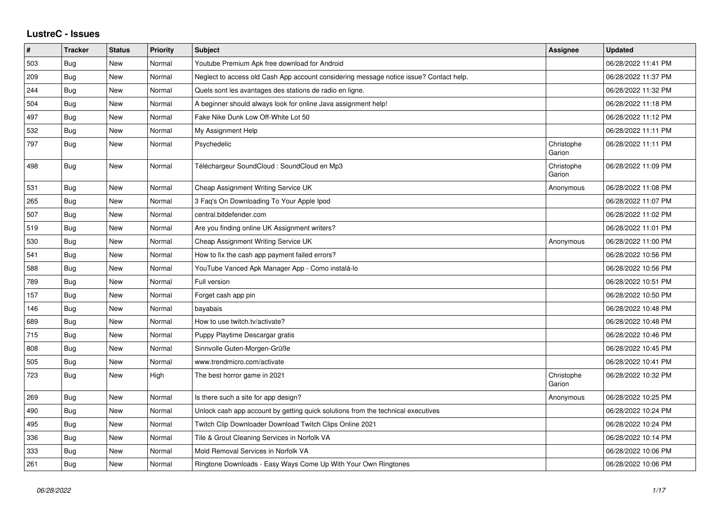## **LustreC - Issues**

| $\vert$ # | <b>Tracker</b> | <b>Status</b> | <b>Priority</b> | <b>Subject</b>                                                                         | Assignee             | <b>Updated</b>      |
|-----------|----------------|---------------|-----------------|----------------------------------------------------------------------------------------|----------------------|---------------------|
| 503       | Bug            | New           | Normal          | Youtube Premium Apk free download for Android                                          |                      | 06/28/2022 11:41 PM |
| 209       | Bug            | <b>New</b>    | Normal          | Neglect to access old Cash App account considering message notice issue? Contact help. |                      | 06/28/2022 11:37 PM |
| 244       | Bug            | New           | Normal          | Quels sont les avantages des stations de radio en ligne.                               |                      | 06/28/2022 11:32 PM |
| 504       | Bug            | New           | Normal          | A beginner should always look for online Java assignment help!                         |                      | 06/28/2022 11:18 PM |
| 497       | <b>Bug</b>     | New           | Normal          | Fake Nike Dunk Low Off-White Lot 50                                                    |                      | 06/28/2022 11:12 PM |
| 532       | Bug            | New           | Normal          | My Assignment Help                                                                     |                      | 06/28/2022 11:11 PM |
| 797       | Bug            | <b>New</b>    | Normal          | Psychedelic                                                                            | Christophe<br>Garion | 06/28/2022 11:11 PM |
| 498       | Bug            | New           | Normal          | Téléchargeur SoundCloud : SoundCloud en Mp3                                            | Christophe<br>Garion | 06/28/2022 11:09 PM |
| 531       | Bug            | New           | Normal          | Cheap Assignment Writing Service UK                                                    | Anonymous            | 06/28/2022 11:08 PM |
| 265       | Bug            | <b>New</b>    | Normal          | 3 Faq's On Downloading To Your Apple Ipod                                              |                      | 06/28/2022 11:07 PM |
| 507       | Bug            | New           | Normal          | central.bitdefender.com                                                                |                      | 06/28/2022 11:02 PM |
| 519       | Bug            | New           | Normal          | Are you finding online UK Assignment writers?                                          |                      | 06/28/2022 11:01 PM |
| 530       | Bug            | New           | Normal          | Cheap Assignment Writing Service UK                                                    | Anonymous            | 06/28/2022 11:00 PM |
| 541       | Bug            | New           | Normal          | How to fix the cash app payment failed errors?                                         |                      | 06/28/2022 10:56 PM |
| 588       | Bug            | New           | Normal          | YouTube Vanced Apk Manager App - Como instalá-lo                                       |                      | 06/28/2022 10:56 PM |
| 789       | Bug            | New           | Normal          | Full version                                                                           |                      | 06/28/2022 10:51 PM |
| 157       | Bug            | New           | Normal          | Forget cash app pin                                                                    |                      | 06/28/2022 10:50 PM |
| 146       | Bug            | New           | Normal          | bayabais                                                                               |                      | 06/28/2022 10:48 PM |
| 689       | Bug            | New           | Normal          | How to use twitch.tv/activate?                                                         |                      | 06/28/2022 10:48 PM |
| 715       | Bug            | New           | Normal          | Puppy Playtime Descargar gratis                                                        |                      | 06/28/2022 10:46 PM |
| 808       | Bug            | New           | Normal          | Sinnvolle Guten-Morgen-Grüße                                                           |                      | 06/28/2022 10:45 PM |
| 505       | Bug            | New           | Normal          | www.trendmicro.com/activate                                                            |                      | 06/28/2022 10:41 PM |
| 723       | Bug            | New           | High            | The best horror game in 2021                                                           | Christophe<br>Garion | 06/28/2022 10:32 PM |
| 269       | Bug            | New           | Normal          | Is there such a site for app design?                                                   | Anonymous            | 06/28/2022 10:25 PM |
| 490       | Bug            | New           | Normal          | Unlock cash app account by getting quick solutions from the technical executives       |                      | 06/28/2022 10:24 PM |
| 495       | Bug            | New           | Normal          | Twitch Clip Downloader Download Twitch Clips Online 2021                               |                      | 06/28/2022 10:24 PM |
| 336       | Bug            | New           | Normal          | Tile & Grout Cleaning Services in Norfolk VA                                           |                      | 06/28/2022 10:14 PM |
| 333       | Bug            | New           | Normal          | Mold Removal Services in Norfolk VA                                                    |                      | 06/28/2022 10:06 PM |
| 261       | Bug            | New           | Normal          | Ringtone Downloads - Easy Ways Come Up With Your Own Ringtones                         |                      | 06/28/2022 10:06 PM |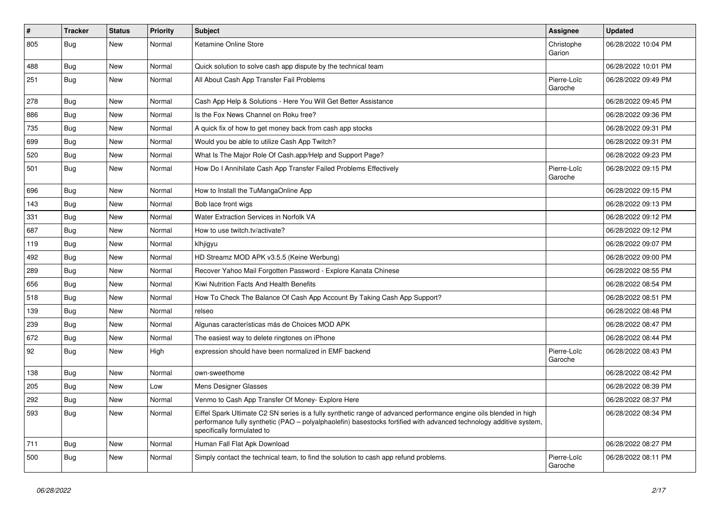| $\pmb{\#}$ | Tracker    | <b>Status</b> | <b>Priority</b> | <b>Subject</b>                                                                                                                                                                                                                                                        | Assignee               | <b>Updated</b>      |
|------------|------------|---------------|-----------------|-----------------------------------------------------------------------------------------------------------------------------------------------------------------------------------------------------------------------------------------------------------------------|------------------------|---------------------|
| 805        | <b>Bug</b> | New           | Normal          | Ketamine Online Store                                                                                                                                                                                                                                                 | Christophe<br>Garion   | 06/28/2022 10:04 PM |
| 488        | <b>Bug</b> | New           | Normal          | Quick solution to solve cash app dispute by the technical team                                                                                                                                                                                                        |                        | 06/28/2022 10:01 PM |
| 251        | Bug        | New           | Normal          | All About Cash App Transfer Fail Problems                                                                                                                                                                                                                             | Pierre-Loïc<br>Garoche | 06/28/2022 09:49 PM |
| 278        | Bug        | New           | Normal          | Cash App Help & Solutions - Here You Will Get Better Assistance                                                                                                                                                                                                       |                        | 06/28/2022 09:45 PM |
| 886        | Bug        | New           | Normal          | Is the Fox News Channel on Roku free?                                                                                                                                                                                                                                 |                        | 06/28/2022 09:36 PM |
| 735        | Bug        | New           | Normal          | A quick fix of how to get money back from cash app stocks                                                                                                                                                                                                             |                        | 06/28/2022 09:31 PM |
| 699        | <b>Bug</b> | New           | Normal          | Would you be able to utilize Cash App Twitch?                                                                                                                                                                                                                         |                        | 06/28/2022 09:31 PM |
| 520        | Bug        | New           | Normal          | What Is The Major Role Of Cash.app/Help and Support Page?                                                                                                                                                                                                             |                        | 06/28/2022 09:23 PM |
| 501        | Bug        | New           | Normal          | How Do I Annihilate Cash App Transfer Failed Problems Effectively                                                                                                                                                                                                     | Pierre-Loïc<br>Garoche | 06/28/2022 09:15 PM |
| 696        | Bug        | New           | Normal          | How to Install the TuMangaOnline App                                                                                                                                                                                                                                  |                        | 06/28/2022 09:15 PM |
| 143        | Bug        | New           | Normal          | Bob lace front wigs                                                                                                                                                                                                                                                   |                        | 06/28/2022 09:13 PM |
| 331        | Bug        | <b>New</b>    | Normal          | Water Extraction Services in Norfolk VA                                                                                                                                                                                                                               |                        | 06/28/2022 09:12 PM |
| 687        | Bug        | New           | Normal          | How to use twitch.tv/activate?                                                                                                                                                                                                                                        |                        | 06/28/2022 09:12 PM |
| 119        | <b>Bug</b> | New           | Normal          | klhjigyu                                                                                                                                                                                                                                                              |                        | 06/28/2022 09:07 PM |
| 492        | Bug        | New           | Normal          | HD Streamz MOD APK v3.5.5 (Keine Werbung)                                                                                                                                                                                                                             |                        | 06/28/2022 09:00 PM |
| 289        | Bug        | <b>New</b>    | Normal          | Recover Yahoo Mail Forgotten Password - Explore Kanata Chinese                                                                                                                                                                                                        |                        | 06/28/2022 08:55 PM |
| 656        | Bug        | New           | Normal          | Kiwi Nutrition Facts And Health Benefits                                                                                                                                                                                                                              |                        | 06/28/2022 08:54 PM |
| 518        | Bug        | New           | Normal          | How To Check The Balance Of Cash App Account By Taking Cash App Support?                                                                                                                                                                                              |                        | 06/28/2022 08:51 PM |
| 139        | Bug        | New           | Normal          | relseo                                                                                                                                                                                                                                                                |                        | 06/28/2022 08:48 PM |
| 239        | Bug        | New           | Normal          | Algunas características más de Choices MOD APK                                                                                                                                                                                                                        |                        | 06/28/2022 08:47 PM |
| 672        | <b>Bug</b> | New           | Normal          | The easiest way to delete ringtones on iPhone                                                                                                                                                                                                                         |                        | 06/28/2022 08:44 PM |
| 92         | Bug        | New           | High            | expression should have been normalized in EMF backend                                                                                                                                                                                                                 | Pierre-Loïc<br>Garoche | 06/28/2022 08:43 PM |
| 138        | <b>Bug</b> | New           | Normal          | own-sweethome                                                                                                                                                                                                                                                         |                        | 06/28/2022 08:42 PM |
| 205        | <b>Bug</b> | New           | Low             | Mens Designer Glasses                                                                                                                                                                                                                                                 |                        | 06/28/2022 08:39 PM |
| 292        | <b>Bug</b> | New           | Normal          | Venmo to Cash App Transfer Of Money- Explore Here                                                                                                                                                                                                                     |                        | 06/28/2022 08:37 PM |
| 593        | Bug        | New           | Normal          | Eiffel Spark Ultimate C2 SN series is a fully synthetic range of advanced performance engine oils blended in high<br>performance fully synthetic (PAO – polyalphaolefin) basestocks fortified with advanced technology additive system,<br>specifically formulated to |                        | 06/28/2022 08:34 PM |
| 711        | Bug        | New           | Normal          | Human Fall Flat Apk Download                                                                                                                                                                                                                                          |                        | 06/28/2022 08:27 PM |
| 500        | Bug        | New           | Normal          | Simply contact the technical team, to find the solution to cash app refund problems.                                                                                                                                                                                  | Pierre-Loïc<br>Garoche | 06/28/2022 08:11 PM |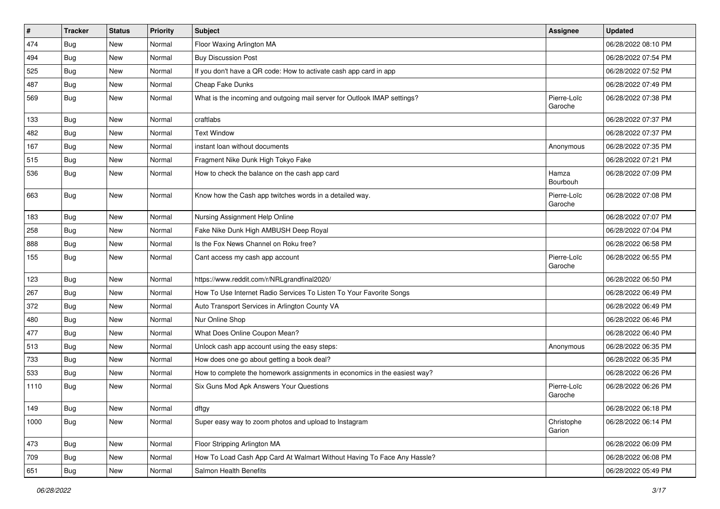| $\pmb{\sharp}$ | <b>Tracker</b> | <b>Status</b> | <b>Priority</b> | Subject                                                                   | Assignee               | <b>Updated</b>      |
|----------------|----------------|---------------|-----------------|---------------------------------------------------------------------------|------------------------|---------------------|
| 474            | <b>Bug</b>     | New           | Normal          | Floor Waxing Arlington MA                                                 |                        | 06/28/2022 08:10 PM |
| 494            | Bug            | New           | Normal          | <b>Buy Discussion Post</b>                                                |                        | 06/28/2022 07:54 PM |
| 525            | Bug            | New           | Normal          | If you don't have a QR code: How to activate cash app card in app         |                        | 06/28/2022 07:52 PM |
| 487            | <b>Bug</b>     | <b>New</b>    | Normal          | Cheap Fake Dunks                                                          |                        | 06/28/2022 07:49 PM |
| 569            | Bug            | New           | Normal          | What is the incoming and outgoing mail server for Outlook IMAP settings?  | Pierre-Loïc<br>Garoche | 06/28/2022 07:38 PM |
| 133            | Bug            | New           | Normal          | craftlabs                                                                 |                        | 06/28/2022 07:37 PM |
| 482            | Bug            | New           | Normal          | <b>Text Window</b>                                                        |                        | 06/28/2022 07:37 PM |
| 167            | Bug            | New           | Normal          | instant loan without documents                                            | Anonymous              | 06/28/2022 07:35 PM |
| 515            | Bug            | <b>New</b>    | Normal          | Fragment Nike Dunk High Tokyo Fake                                        |                        | 06/28/2022 07:21 PM |
| 536            | Bug            | New           | Normal          | How to check the balance on the cash app card                             | Hamza<br>Bourbouh      | 06/28/2022 07:09 PM |
| 663            | <b>Bug</b>     | New           | Normal          | Know how the Cash app twitches words in a detailed way.                   | Pierre-Loïc<br>Garoche | 06/28/2022 07:08 PM |
| 183            | Bug            | New           | Normal          | Nursing Assignment Help Online                                            |                        | 06/28/2022 07:07 PM |
| 258            | Bug            | New           | Normal          | Fake Nike Dunk High AMBUSH Deep Royal                                     |                        | 06/28/2022 07:04 PM |
| 888            | Bug            | New           | Normal          | Is the Fox News Channel on Roku free?                                     |                        | 06/28/2022 06:58 PM |
| 155            | <b>Bug</b>     | <b>New</b>    | Normal          | Cant access my cash app account                                           | Pierre-Loïc<br>Garoche | 06/28/2022 06:55 PM |
| 123            | Bug            | New           | Normal          | https://www.reddit.com/r/NRLgrandfinal2020/                               |                        | 06/28/2022 06:50 PM |
| 267            | Bug            | New           | Normal          | How To Use Internet Radio Services To Listen To Your Favorite Songs       |                        | 06/28/2022 06:49 PM |
| 372            | <b>Bug</b>     | <b>New</b>    | Normal          | Auto Transport Services in Arlington County VA                            |                        | 06/28/2022 06:49 PM |
| 480            | Bug            | New           | Normal          | Nur Online Shop                                                           |                        | 06/28/2022 06:46 PM |
| 477            | Bug            | New           | Normal          | What Does Online Coupon Mean?                                             |                        | 06/28/2022 06:40 PM |
| 513            | Bug            | New           | Normal          | Unlock cash app account using the easy steps:                             | Anonymous              | 06/28/2022 06:35 PM |
| 733            | Bug            | New           | Normal          | How does one go about getting a book deal?                                |                        | 06/28/2022 06:35 PM |
| 533            | Bug            | New           | Normal          | How to complete the homework assignments in economics in the easiest way? |                        | 06/28/2022 06:26 PM |
| 1110           | Bug            | New           | Normal          | Six Guns Mod Apk Answers Your Questions                                   | Pierre-Loïc<br>Garoche | 06/28/2022 06:26 PM |
| 149            | Bug            | New           | Normal          | dftgy                                                                     |                        | 06/28/2022 06:18 PM |
| 1000           | Bug            | New           | Normal          | Super easy way to zoom photos and upload to Instagram                     | Christophe<br>Garion   | 06/28/2022 06:14 PM |
| 473            | Bug            | New           | Normal          | Floor Stripping Arlington MA                                              |                        | 06/28/2022 06:09 PM |
| 709            | Bug            | New           | Normal          | How To Load Cash App Card At Walmart Without Having To Face Any Hassle?   |                        | 06/28/2022 06:08 PM |
| 651            | Bug            | New           | Normal          | Salmon Health Benefits                                                    |                        | 06/28/2022 05:49 PM |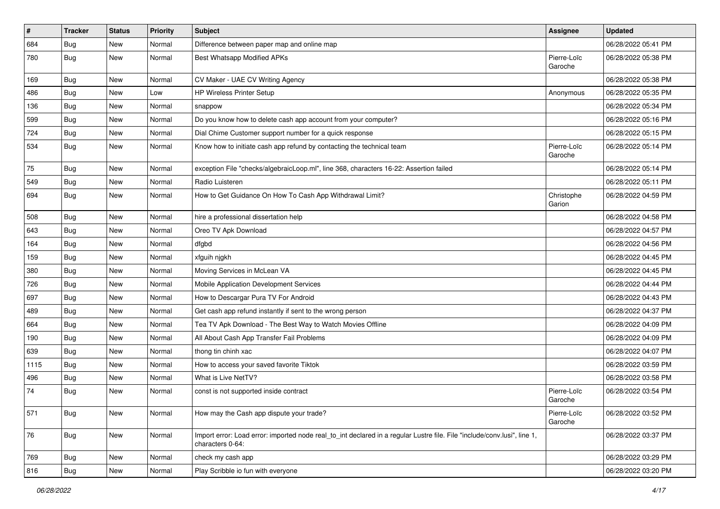| $\pmb{\#}$ | <b>Tracker</b> | <b>Status</b> | Priority | <b>Subject</b>                                                                                                                               | <b>Assignee</b>        | <b>Updated</b>      |
|------------|----------------|---------------|----------|----------------------------------------------------------------------------------------------------------------------------------------------|------------------------|---------------------|
| 684        | <b>Bug</b>     | New           | Normal   | Difference between paper map and online map                                                                                                  |                        | 06/28/2022 05:41 PM |
| 780        | Bug            | New           | Normal   | <b>Best Whatsapp Modified APKs</b>                                                                                                           | Pierre-Loïc<br>Garoche | 06/28/2022 05:38 PM |
| 169        | Bug            | New           | Normal   | CV Maker - UAE CV Writing Agency                                                                                                             |                        | 06/28/2022 05:38 PM |
| 486        | Bug            | New           | Low      | HP Wireless Printer Setup                                                                                                                    | Anonymous              | 06/28/2022 05:35 PM |
| 136        | Bug            | New           | Normal   | snappow                                                                                                                                      |                        | 06/28/2022 05:34 PM |
| 599        | Bug            | New           | Normal   | Do you know how to delete cash app account from your computer?                                                                               |                        | 06/28/2022 05:16 PM |
| 724        | Bug            | New           | Normal   | Dial Chime Customer support number for a quick response                                                                                      |                        | 06/28/2022 05:15 PM |
| 534        | Bug            | New           | Normal   | Know how to initiate cash app refund by contacting the technical team                                                                        | Pierre-Loïc<br>Garoche | 06/28/2022 05:14 PM |
| 75         | Bug            | New           | Normal   | exception File "checks/algebraicLoop.ml", line 368, characters 16-22: Assertion failed                                                       |                        | 06/28/2022 05:14 PM |
| 549        | Bug            | New           | Normal   | Radio Luisteren                                                                                                                              |                        | 06/28/2022 05:11 PM |
| 694        | Bug            | New           | Normal   | How to Get Guidance On How To Cash App Withdrawal Limit?                                                                                     | Christophe<br>Garion   | 06/28/2022 04:59 PM |
| 508        | Bug            | New           | Normal   | hire a professional dissertation help                                                                                                        |                        | 06/28/2022 04:58 PM |
| 643        | Bug            | New           | Normal   | Oreo TV Apk Download                                                                                                                         |                        | 06/28/2022 04:57 PM |
| 164        | Bug            | New           | Normal   | dfgbd                                                                                                                                        |                        | 06/28/2022 04:56 PM |
| 159        | Bug            | New           | Normal   | xfguih njgkh                                                                                                                                 |                        | 06/28/2022 04:45 PM |
| 380        | Bug            | New           | Normal   | Moving Services in McLean VA                                                                                                                 |                        | 06/28/2022 04:45 PM |
| 726        | <b>Bug</b>     | New           | Normal   | Mobile Application Development Services                                                                                                      |                        | 06/28/2022 04:44 PM |
| 697        | Bug            | New           | Normal   | How to Descargar Pura TV For Android                                                                                                         |                        | 06/28/2022 04:43 PM |
| 489        | Bug            | New           | Normal   | Get cash app refund instantly if sent to the wrong person                                                                                    |                        | 06/28/2022 04:37 PM |
| 664        | Bug            | <b>New</b>    | Normal   | Tea TV Apk Download - The Best Way to Watch Movies Offline                                                                                   |                        | 06/28/2022 04:09 PM |
| 190        | Bug            | New           | Normal   | All About Cash App Transfer Fail Problems                                                                                                    |                        | 06/28/2022 04:09 PM |
| 639        | Bug            | New           | Normal   | thong tin chinh xac                                                                                                                          |                        | 06/28/2022 04:07 PM |
| 1115       | Bug            | New           | Normal   | How to access your saved favorite Tiktok                                                                                                     |                        | 06/28/2022 03:59 PM |
| 496        | <b>Bug</b>     | New           | Normal   | What is Live NetTV?                                                                                                                          |                        | 06/28/2022 03:58 PM |
| 74         | <b>Bug</b>     | New           | Normal   | const is not supported inside contract                                                                                                       | Pierre-Loïc<br>Garoche | 06/28/2022 03:54 PM |
| 571        | <b>Bug</b>     | New           | Normal   | How may the Cash app dispute your trade?                                                                                                     | Pierre-Loïc<br>Garoche | 06/28/2022 03:52 PM |
| 76         | Bug            | New           | Normal   | Import error: Load error: imported node real_to_int declared in a regular Lustre file. File "include/conv.lusi", line 1,<br>characters 0-64: |                        | 06/28/2022 03:37 PM |
| 769        | Bug            | New           | Normal   | check my cash app                                                                                                                            |                        | 06/28/2022 03:29 PM |
| 816        | Bug            | New           | Normal   | Play Scribble io fun with everyone                                                                                                           |                        | 06/28/2022 03:20 PM |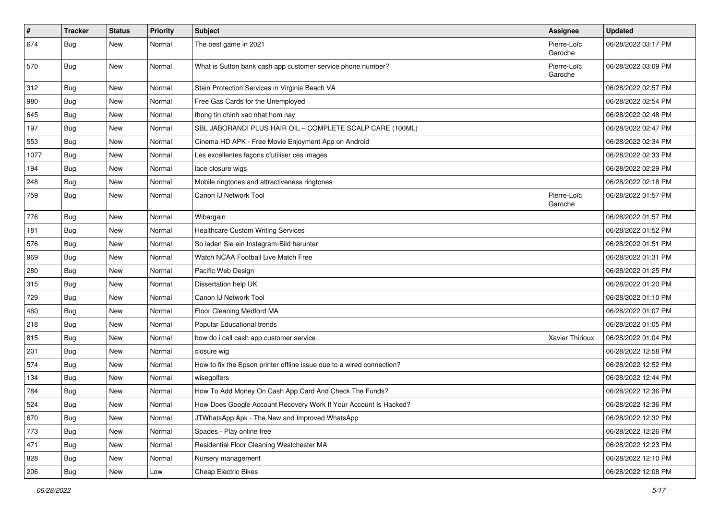| $\vert$ # | <b>Tracker</b> | <b>Status</b> | Priority | <b>Subject</b>                                                        | <b>Assignee</b>        | <b>Updated</b>      |
|-----------|----------------|---------------|----------|-----------------------------------------------------------------------|------------------------|---------------------|
| 674       | Bug            | New           | Normal   | The best game in 2021                                                 | Pierre-Loïc<br>Garoche | 06/28/2022 03:17 PM |
| 570       | Bug            | New           | Normal   | What is Sutton bank cash app customer service phone number?           | Pierre-Loïc<br>Garoche | 06/28/2022 03:09 PM |
| 312       | Bug            | New           | Normal   | Stain Protection Services in Virginia Beach VA                        |                        | 06/28/2022 02:57 PM |
| 980       | Bug            | New           | Normal   | Free Gas Cards for the Unemployed                                     |                        | 06/28/2022 02:54 PM |
| 645       | <b>Bug</b>     | New           | Normal   | thong tin chinh xac nhat hom nay                                      |                        | 06/28/2022 02:48 PM |
| 197       | Bug            | New           | Normal   | SBL JABORANDI PLUS HAIR OIL - COMPLETE SCALP CARE (100ML)             |                        | 06/28/2022 02:47 PM |
| 553       | Bug            | New           | Normal   | Cinema HD APK - Free Movie Enjoyment App on Android                   |                        | 06/28/2022 02:34 PM |
| 1077      | Bug            | New           | Normal   | Les excellentes façons d'utiliser ces images                          |                        | 06/28/2022 02:33 PM |
| 194       | Bug            | New           | Normal   | lace closure wigs                                                     |                        | 06/28/2022 02:29 PM |
| 248       | Bug            | New           | Normal   | Mobile ringtones and attractiveness ringtones                         |                        | 06/28/2022 02:18 PM |
| 759       | Bug            | New           | Normal   | Canon IJ Network Tool                                                 | Pierre-Loïc<br>Garoche | 06/28/2022 01:57 PM |
| 776       | Bug            | New           | Normal   | Wibargain                                                             |                        | 06/28/2022 01:57 PM |
| 181       | Bug            | New           | Normal   | <b>Healthcare Custom Writing Services</b>                             |                        | 06/28/2022 01:52 PM |
| 576       | <b>Bug</b>     | New           | Normal   | So laden Sie ein Instagram-Bild herunter                              |                        | 06/28/2022 01:51 PM |
| 969       | Bug            | New           | Normal   | Watch NCAA Football Live Match Free                                   |                        | 06/28/2022 01:31 PM |
| 280       | Bug            | New           | Normal   | Pacific Web Design                                                    |                        | 06/28/2022 01:25 PM |
| 315       | <b>Bug</b>     | New           | Normal   | Dissertation help UK                                                  |                        | 06/28/2022 01:20 PM |
| 729       | Bug            | New           | Normal   | Canon IJ Network Tool                                                 |                        | 06/28/2022 01:10 PM |
| 460       | <b>Bug</b>     | New           | Normal   | Floor Cleaning Medford MA                                             |                        | 06/28/2022 01:07 PM |
| 218       | Bug            | New           | Normal   | Popular Educational trends                                            |                        | 06/28/2022 01:05 PM |
| 815       | Bug            | New           | Normal   | how do i call cash app customer service                               | Xavier Thirioux        | 06/28/2022 01:04 PM |
| 201       | <b>Bug</b>     | New           | Normal   | closure wig                                                           |                        | 06/28/2022 12:58 PM |
| 574       | Bug            | New           | Normal   | How to fix the Epson printer offline issue due to a wired connection? |                        | 06/28/2022 12:52 PM |
| 134       | Bug            | New           | Normal   | wisegolfers                                                           |                        | 06/28/2022 12:44 PM |
| 784       | Bug            | New           | Normal   | How To Add Money On Cash App Card And Check The Funds?                |                        | 06/28/2022 12:36 PM |
| 524       | Bug            | New           | Normal   | How Does Google Account Recovery Work If Your Account Is Hacked?      |                        | 06/28/2022 12:36 PM |
| 670       | Bug            | New           | Normal   | JTWhatsApp Apk - The New and Improved WhatsApp                        |                        | 06/28/2022 12:32 PM |
| 773       | Bug            | New           | Normal   | Spades - Play online free                                             |                        | 06/28/2022 12:26 PM |
| 471       | <b>Bug</b>     | New           | Normal   | Residential Floor Cleaning Westchester MA                             |                        | 06/28/2022 12:23 PM |
| 828       | Bug            | New           | Normal   | Nursery management                                                    |                        | 06/28/2022 12:10 PM |
| 206       | Bug            | New           | Low      | <b>Cheap Electric Bikes</b>                                           |                        | 06/28/2022 12:08 PM |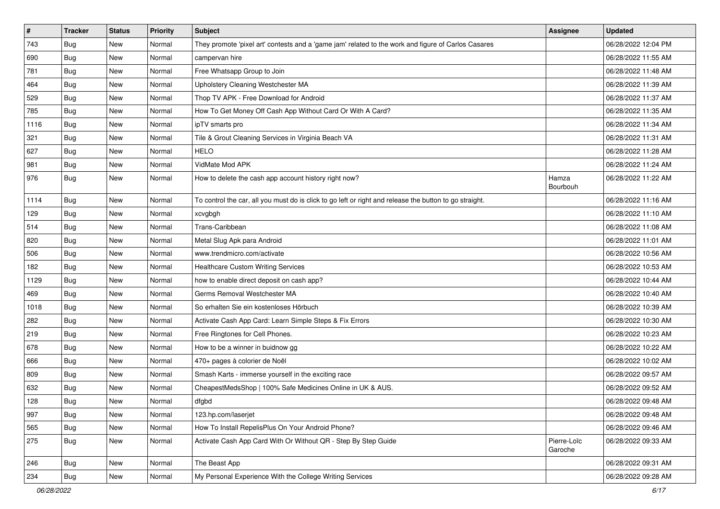| $\vert$ # | <b>Tracker</b> | <b>Status</b> | <b>Priority</b> | <b>Subject</b>                                                                                          | Assignee               | <b>Updated</b>      |
|-----------|----------------|---------------|-----------------|---------------------------------------------------------------------------------------------------------|------------------------|---------------------|
| 743       | Bug            | New           | Normal          | They promote 'pixel art' contests and a 'game jam' related to the work and figure of Carlos Casares     |                        | 06/28/2022 12:04 PM |
| 690       | Bug            | New           | Normal          | campervan hire                                                                                          |                        | 06/28/2022 11:55 AM |
| 781       | Bug            | New           | Normal          | Free Whatsapp Group to Join                                                                             |                        | 06/28/2022 11:48 AM |
| 464       | <b>Bug</b>     | New           | Normal          | Upholstery Cleaning Westchester MA                                                                      |                        | 06/28/2022 11:39 AM |
| 529       | Bug            | New           | Normal          | Thop TV APK - Free Download for Android                                                                 |                        | 06/28/2022 11:37 AM |
| 785       | Bug            | New           | Normal          | How To Get Money Off Cash App Without Card Or With A Card?                                              |                        | 06/28/2022 11:35 AM |
| 1116      | <b>Bug</b>     | New           | Normal          | ipTV smarts pro                                                                                         |                        | 06/28/2022 11:34 AM |
| 321       | Bug            | New           | Normal          | Tile & Grout Cleaning Services in Virginia Beach VA                                                     |                        | 06/28/2022 11:31 AM |
| 627       | Bug            | New           | Normal          | <b>HELO</b>                                                                                             |                        | 06/28/2022 11:28 AM |
| 981       | Bug            | New           | Normal          | VidMate Mod APK                                                                                         |                        | 06/28/2022 11:24 AM |
| 976       | Bug            | New           | Normal          | How to delete the cash app account history right now?                                                   | Hamza<br>Bourbouh      | 06/28/2022 11:22 AM |
| 1114      | Bug            | New           | Normal          | To control the car, all you must do is click to go left or right and release the button to go straight. |                        | 06/28/2022 11:16 AM |
| 129       | <b>Bug</b>     | New           | Normal          | xcvgbgh                                                                                                 |                        | 06/28/2022 11:10 AM |
| 514       | <b>Bug</b>     | New           | Normal          | Trans-Caribbean                                                                                         |                        | 06/28/2022 11:08 AM |
| 820       | <b>Bug</b>     | New           | Normal          | Metal Slug Apk para Android                                                                             |                        | 06/28/2022 11:01 AM |
| 506       | <b>Bug</b>     | New           | Normal          | www.trendmicro.com/activate                                                                             |                        | 06/28/2022 10:56 AM |
| 182       | Bug            | New           | Normal          | <b>Healthcare Custom Writing Services</b>                                                               |                        | 06/28/2022 10:53 AM |
| 1129      | Bug            | New           | Normal          | how to enable direct deposit on cash app?                                                               |                        | 06/28/2022 10:44 AM |
| 469       | <b>Bug</b>     | New           | Normal          | Germs Removal Westchester MA                                                                            |                        | 06/28/2022 10:40 AM |
| 1018      | Bug            | New           | Normal          | So erhalten Sie ein kostenloses Hörbuch                                                                 |                        | 06/28/2022 10:39 AM |
| 282       | Bug            | New           | Normal          | Activate Cash App Card: Learn Simple Steps & Fix Errors                                                 |                        | 06/28/2022 10:30 AM |
| 219       | <b>Bug</b>     | New           | Normal          | Free Ringtones for Cell Phones.                                                                         |                        | 06/28/2022 10:23 AM |
| 678       | Bug            | New           | Normal          | How to be a winner in buidnow gg                                                                        |                        | 06/28/2022 10:22 AM |
| 666       | <b>Bug</b>     | New           | Normal          | 470+ pages à colorier de Noël                                                                           |                        | 06/28/2022 10:02 AM |
| 809       | Bug            | New           | Normal          | Smash Karts - immerse yourself in the exciting race                                                     |                        | 06/28/2022 09:57 AM |
| 632       | <b>Bug</b>     | New           | Normal          | CheapestMedsShop   100% Safe Medicines Online in UK & AUS.                                              |                        | 06/28/2022 09:52 AM |
| 128       | Bug            | New           | Normal          | dfgbd                                                                                                   |                        | 06/28/2022 09:48 AM |
| 997       | Bug            | New           | Normal          | 123.hp.com/laserjet                                                                                     |                        | 06/28/2022 09:48 AM |
| 565       | Bug            | New           | Normal          | How To Install RepelisPlus On Your Android Phone?                                                       |                        | 06/28/2022 09:46 AM |
| 275       | Bug            | New           | Normal          | Activate Cash App Card With Or Without QR - Step By Step Guide                                          | Pierre-Loïc<br>Garoche | 06/28/2022 09:33 AM |
| 246       | Bug            | New           | Normal          | The Beast App                                                                                           |                        | 06/28/2022 09:31 AM |
| 234       | Bug            | New           | Normal          | My Personal Experience With the College Writing Services                                                |                        | 06/28/2022 09:28 AM |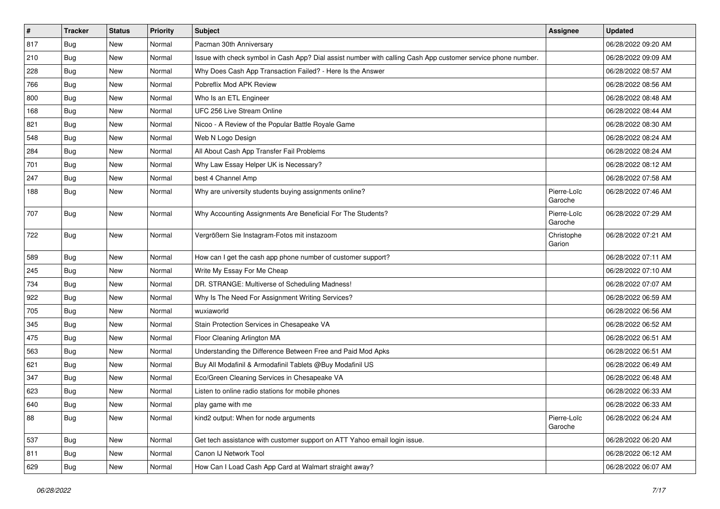| #   | <b>Tracker</b> | <b>Status</b> | Priority | <b>Subject</b>                                                                                               | <b>Assignee</b>        | <b>Updated</b>      |
|-----|----------------|---------------|----------|--------------------------------------------------------------------------------------------------------------|------------------------|---------------------|
| 817 | Bug            | New           | Normal   | Pacman 30th Anniversary                                                                                      |                        | 06/28/2022 09:20 AM |
| 210 | Bug            | New           | Normal   | Issue with check symbol in Cash App? Dial assist number with calling Cash App customer service phone number. |                        | 06/28/2022 09:09 AM |
| 228 | Bug            | New           | Normal   | Why Does Cash App Transaction Failed? - Here Is the Answer                                                   |                        | 06/28/2022 08:57 AM |
| 766 | Bug            | New           | Normal   | Pobreflix Mod APK Review                                                                                     |                        | 06/28/2022 08:56 AM |
| 800 | Bug            | New           | Normal   | Who Is an ETL Engineer                                                                                       |                        | 06/28/2022 08:48 AM |
| 168 | <b>Bug</b>     | New           | Normal   | UFC 256 Live Stream Online                                                                                   |                        | 06/28/2022 08:44 AM |
| 821 | <b>Bug</b>     | New           | Normal   | Nicoo - A Review of the Popular Battle Royale Game                                                           |                        | 06/28/2022 08:30 AM |
| 548 | <b>Bug</b>     | New           | Normal   | Web N Logo Design                                                                                            |                        | 06/28/2022 08:24 AM |
| 284 | Bug            | New           | Normal   | All About Cash App Transfer Fail Problems                                                                    |                        | 06/28/2022 08:24 AM |
| 701 | <b>Bug</b>     | New           | Normal   | Why Law Essay Helper UK is Necessary?                                                                        |                        | 06/28/2022 08:12 AM |
| 247 | Bug            | New           | Normal   | best 4 Channel Amp                                                                                           |                        | 06/28/2022 07:58 AM |
| 188 | Bug            | New           | Normal   | Why are university students buying assignments online?                                                       | Pierre-Loïc<br>Garoche | 06/28/2022 07:46 AM |
| 707 | Bug            | New           | Normal   | Why Accounting Assignments Are Beneficial For The Students?                                                  | Pierre-Loïc<br>Garoche | 06/28/2022 07:29 AM |
| 722 | Bug            | <b>New</b>    | Normal   | Vergrößern Sie Instagram-Fotos mit instazoom                                                                 | Christophe<br>Garion   | 06/28/2022 07:21 AM |
| 589 | Bug            | New           | Normal   | How can I get the cash app phone number of customer support?                                                 |                        | 06/28/2022 07:11 AM |
| 245 | <b>Bug</b>     | New           | Normal   | Write My Essay For Me Cheap                                                                                  |                        | 06/28/2022 07:10 AM |
| 734 | <b>Bug</b>     | New           | Normal   | DR. STRANGE: Multiverse of Scheduling Madness!                                                               |                        | 06/28/2022 07:07 AM |
| 922 | Bug            | <b>New</b>    | Normal   | Why Is The Need For Assignment Writing Services?                                                             |                        | 06/28/2022 06:59 AM |
| 705 | Bug            | New           | Normal   | wuxiaworld                                                                                                   |                        | 06/28/2022 06:56 AM |
| 345 | Bug            | New           | Normal   | Stain Protection Services in Chesapeake VA                                                                   |                        | 06/28/2022 06:52 AM |
| 475 | <b>Bug</b>     | New           | Normal   | Floor Cleaning Arlington MA                                                                                  |                        | 06/28/2022 06:51 AM |
| 563 | <b>Bug</b>     | New           | Normal   | Understanding the Difference Between Free and Paid Mod Apks                                                  |                        | 06/28/2022 06:51 AM |
| 621 | <b>Bug</b>     | New           | Normal   | Buy All Modafinil & Armodafinil Tablets @Buy Modafinil US                                                    |                        | 06/28/2022 06:49 AM |
| 347 | Bug            | New           | Normal   | Eco/Green Cleaning Services in Chesapeake VA                                                                 |                        | 06/28/2022 06:48 AM |
| 623 | Bug            | New           | Normal   | Listen to online radio stations for mobile phones                                                            |                        | 06/28/2022 06:33 AM |
| 640 | Bug            | New           | Normal   | play game with me                                                                                            |                        | 06/28/2022 06:33 AM |
| 88  | <b>Bug</b>     | New           | Normal   | kind2 output: When for node arguments                                                                        | Pierre-Loïc<br>Garoche | 06/28/2022 06:24 AM |
| 537 | Bug            | New           | Normal   | Get tech assistance with customer support on ATT Yahoo email login issue.                                    |                        | 06/28/2022 06:20 AM |
| 811 | Bug            | New           | Normal   | Canon IJ Network Tool                                                                                        |                        | 06/28/2022 06:12 AM |
| 629 | <b>Bug</b>     | New           | Normal   | How Can I Load Cash App Card at Walmart straight away?                                                       |                        | 06/28/2022 06:07 AM |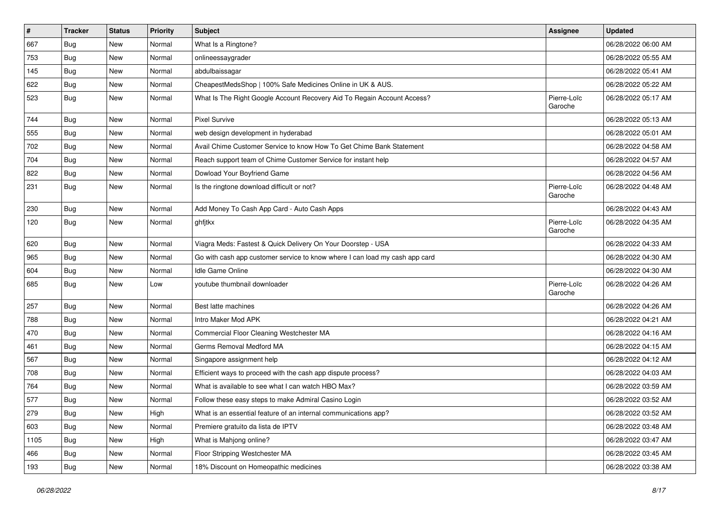| $\pmb{\#}$ | <b>Tracker</b> | <b>Status</b> | Priority | <b>Subject</b>                                                              | <b>Assignee</b>        | <b>Updated</b>      |
|------------|----------------|---------------|----------|-----------------------------------------------------------------------------|------------------------|---------------------|
| 667        | Bug            | New           | Normal   | What Is a Ringtone?                                                         |                        | 06/28/2022 06:00 AM |
| 753        | Bug            | <b>New</b>    | Normal   | onlineessaygrader                                                           |                        | 06/28/2022 05:55 AM |
| 145        | <b>Bug</b>     | New           | Normal   | abdulbaissagar                                                              |                        | 06/28/2022 05:41 AM |
| 622        | <b>Bug</b>     | New           | Normal   | CheapestMedsShop   100% Safe Medicines Online in UK & AUS.                  |                        | 06/28/2022 05:22 AM |
| 523        | Bug            | New           | Normal   | What Is The Right Google Account Recovery Aid To Regain Account Access?     | Pierre-Loïc<br>Garoche | 06/28/2022 05:17 AM |
| 744        | <b>Bug</b>     | <b>New</b>    | Normal   | <b>Pixel Survive</b>                                                        |                        | 06/28/2022 05:13 AM |
| 555        | Bug            | New           | Normal   | web design development in hyderabad                                         |                        | 06/28/2022 05:01 AM |
| 702        | <b>Bug</b>     | New           | Normal   | Avail Chime Customer Service to know How To Get Chime Bank Statement        |                        | 06/28/2022 04:58 AM |
| 704        | Bug            | <b>New</b>    | Normal   | Reach support team of Chime Customer Service for instant help               |                        | 06/28/2022 04:57 AM |
| 822        | Bug            | New           | Normal   | Dowload Your Boyfriend Game                                                 |                        | 06/28/2022 04:56 AM |
| 231        | <b>Bug</b>     | New           | Normal   | Is the ringtone download difficult or not?                                  | Pierre-Loïc<br>Garoche | 06/28/2022 04:48 AM |
| 230        | Bug            | New           | Normal   | Add Money To Cash App Card - Auto Cash Apps                                 |                        | 06/28/2022 04:43 AM |
| 120        | Bug            | New           | Normal   | ghfjtkx                                                                     | Pierre-Loïc<br>Garoche | 06/28/2022 04:35 AM |
| 620        | Bug            | New           | Normal   | Viagra Meds: Fastest & Quick Delivery On Your Doorstep - USA                |                        | 06/28/2022 04:33 AM |
| 965        | Bug            | <b>New</b>    | Normal   | Go with cash app customer service to know where I can load my cash app card |                        | 06/28/2022 04:30 AM |
| 604        | Bug            | New           | Normal   | <b>Idle Game Online</b>                                                     |                        | 06/28/2022 04:30 AM |
| 685        | Bug            | New           | Low      | youtube thumbnail downloader                                                | Pierre-Loïc<br>Garoche | 06/28/2022 04:26 AM |
| 257        | Bug            | New           | Normal   | Best latte machines                                                         |                        | 06/28/2022 04:26 AM |
| 788        | <b>Bug</b>     | New           | Normal   | Intro Maker Mod APK                                                         |                        | 06/28/2022 04:21 AM |
| 470        | Bug            | New           | Normal   | Commercial Floor Cleaning Westchester MA                                    |                        | 06/28/2022 04:16 AM |
| 461        | <b>Bug</b>     | New           | Normal   | Germs Removal Medford MA                                                    |                        | 06/28/2022 04:15 AM |
| 567        | Bug            | New           | Normal   | Singapore assignment help                                                   |                        | 06/28/2022 04:12 AM |
| 708        | Bug            | New           | Normal   | Efficient ways to proceed with the cash app dispute process?                |                        | 06/28/2022 04:03 AM |
| 764        | Bug            | New           | Normal   | What is available to see what I can watch HBO Max?                          |                        | 06/28/2022 03:59 AM |
| 577        | <b>Bug</b>     | New           | Normal   | Follow these easy steps to make Admiral Casino Login                        |                        | 06/28/2022 03:52 AM |
| 279        | Bug            | New           | High     | What is an essential feature of an internal communications app?             |                        | 06/28/2022 03:52 AM |
| 603        | <b>Bug</b>     | <b>New</b>    | Normal   | Premiere gratuito da lista de IPTV                                          |                        | 06/28/2022 03:48 AM |
| 1105       | Bug            | New           | High     | What is Mahjong online?                                                     |                        | 06/28/2022 03:47 AM |
| 466        | <b>Bug</b>     | New           | Normal   | Floor Stripping Westchester MA                                              |                        | 06/28/2022 03:45 AM |
| 193        | Bug            | New           | Normal   | 18% Discount on Homeopathic medicines                                       |                        | 06/28/2022 03:38 AM |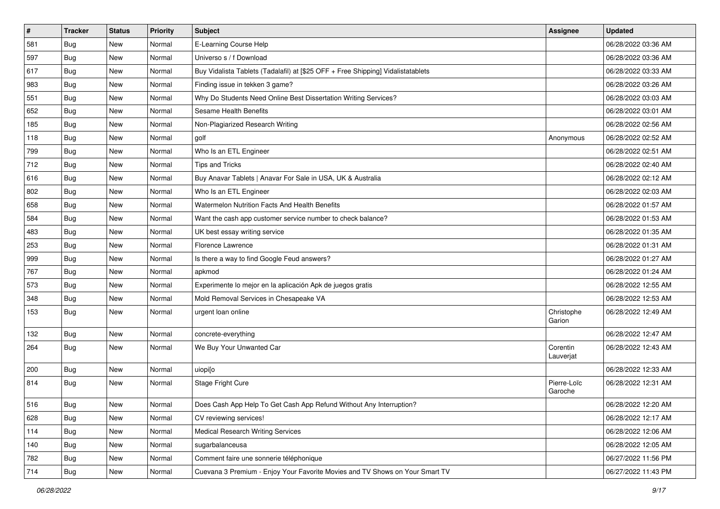| $\vert$ # | <b>Tracker</b> | <b>Status</b> | Priority | <b>Subject</b>                                                                   | Assignee               | <b>Updated</b>      |
|-----------|----------------|---------------|----------|----------------------------------------------------------------------------------|------------------------|---------------------|
| 581       | <b>Bug</b>     | New           | Normal   | E-Learning Course Help                                                           |                        | 06/28/2022 03:36 AM |
| 597       | Bug            | New           | Normal   | Universo s / f Download                                                          |                        | 06/28/2022 03:36 AM |
| 617       | Bug            | New           | Normal   | Buy Vidalista Tablets (Tadalafil) at [\$25 OFF + Free Shipping] Vidalistatablets |                        | 06/28/2022 03:33 AM |
| 983       | <b>Bug</b>     | New           | Normal   | Finding issue in tekken 3 game?                                                  |                        | 06/28/2022 03:26 AM |
| 551       | Bug            | New           | Normal   | Why Do Students Need Online Best Dissertation Writing Services?                  |                        | 06/28/2022 03:03 AM |
| 652       | <b>Bug</b>     | New           | Normal   | Sesame Health Benefits                                                           |                        | 06/28/2022 03:01 AM |
| 185       | Bug            | New           | Normal   | Non-Plagiarized Research Writing                                                 |                        | 06/28/2022 02:56 AM |
| 118       | Bug            | New           | Normal   | golf                                                                             | Anonymous              | 06/28/2022 02:52 AM |
| 799       | <b>Bug</b>     | New           | Normal   | Who Is an ETL Engineer                                                           |                        | 06/28/2022 02:51 AM |
| 712       | Bug            | New           | Normal   | <b>Tips and Tricks</b>                                                           |                        | 06/28/2022 02:40 AM |
| 616       | Bug            | New           | Normal   | Buy Anavar Tablets   Anavar For Sale in USA, UK & Australia                      |                        | 06/28/2022 02:12 AM |
| 802       | <b>Bug</b>     | New           | Normal   | Who Is an ETL Engineer                                                           |                        | 06/28/2022 02:03 AM |
| 658       | Bug            | <b>New</b>    | Normal   | Watermelon Nutrition Facts And Health Benefits                                   |                        | 06/28/2022 01:57 AM |
| 584       | Bug            | New           | Normal   | Want the cash app customer service number to check balance?                      |                        | 06/28/2022 01:53 AM |
| 483       | Bug            | New           | Normal   | UK best essay writing service                                                    |                        | 06/28/2022 01:35 AM |
| 253       | Bug            | New           | Normal   | Florence Lawrence                                                                |                        | 06/28/2022 01:31 AM |
| 999       | <b>Bug</b>     | New           | Normal   | Is there a way to find Google Feud answers?                                      |                        | 06/28/2022 01:27 AM |
| 767       | Bug            | New           | Normal   | apkmod                                                                           |                        | 06/28/2022 01:24 AM |
| 573       | <b>Bug</b>     | New           | Normal   | Experimente lo mejor en la aplicación Apk de juegos gratis                       |                        | 06/28/2022 12:55 AM |
| 348       | Bug            | New           | Normal   | Mold Removal Services in Chesapeake VA                                           |                        | 06/28/2022 12:53 AM |
| 153       | Bug            | New           | Normal   | urgent loan online                                                               | Christophe<br>Garion   | 06/28/2022 12:49 AM |
| 132       | Bug            | New           | Normal   | concrete-everything                                                              |                        | 06/28/2022 12:47 AM |
| 264       | Bug            | New           | Normal   | We Buy Your Unwanted Car                                                         | Corentin<br>Lauverjat  | 06/28/2022 12:43 AM |
| 200       | Bug            | New           | Normal   | uiopijo                                                                          |                        | 06/28/2022 12:33 AM |
| 814       | <b>Bug</b>     | New           | Normal   | Stage Fright Cure                                                                | Pierre-Loïc<br>Garoche | 06/28/2022 12:31 AM |
| 516       | Bug            | New           | Normal   | Does Cash App Help To Get Cash App Refund Without Any Interruption?              |                        | 06/28/2022 12:20 AM |
| 628       | <b>Bug</b>     | New           | Normal   | CV reviewing services!                                                           |                        | 06/28/2022 12:17 AM |
| 114       | <b>Bug</b>     | New           | Normal   | <b>Medical Research Writing Services</b>                                         |                        | 06/28/2022 12:06 AM |
| 140       | Bug            | New           | Normal   | sugarbalanceusa                                                                  |                        | 06/28/2022 12:05 AM |
| 782       | Bug            | New           | Normal   | Comment faire une sonnerie téléphonique                                          |                        | 06/27/2022 11:56 PM |
| 714       | Bug            | New           | Normal   | Cuevana 3 Premium - Enjoy Your Favorite Movies and TV Shows on Your Smart TV     |                        | 06/27/2022 11:43 PM |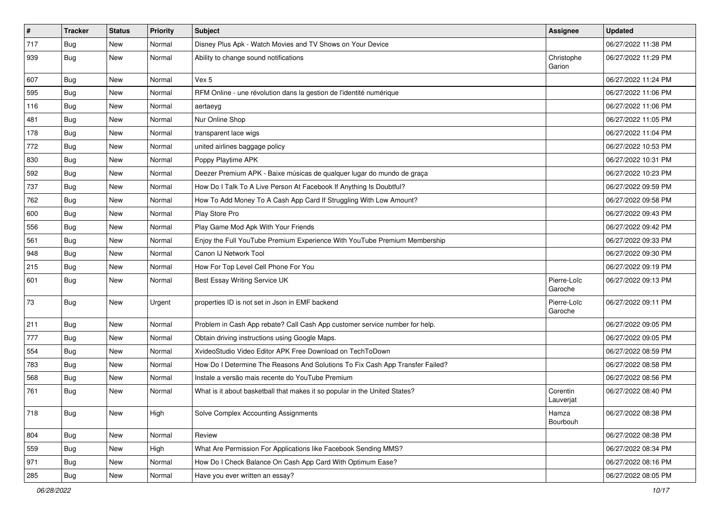| $\vert$ # | <b>Tracker</b> | <b>Status</b> | Priority | Subject                                                                       | Assignee               | <b>Updated</b>      |
|-----------|----------------|---------------|----------|-------------------------------------------------------------------------------|------------------------|---------------------|
| 717       | <b>Bug</b>     | New           | Normal   | Disney Plus Apk - Watch Movies and TV Shows on Your Device                    |                        | 06/27/2022 11:38 PM |
| 939       | Bug            | New           | Normal   | Ability to change sound notifications                                         | Christophe<br>Garion   | 06/27/2022 11:29 PM |
| 607       | Bug            | New           | Normal   | Vex 5                                                                         |                        | 06/27/2022 11:24 PM |
| 595       | Bug            | New           | Normal   | RFM Online - une révolution dans la gestion de l'identité numérique           |                        | 06/27/2022 11:06 PM |
| 116       | Bug            | New           | Normal   | aertaeyg                                                                      |                        | 06/27/2022 11:06 PM |
| 481       | Bug            | New           | Normal   | Nur Online Shop                                                               |                        | 06/27/2022 11:05 PM |
| 178       | Bug            | New           | Normal   | transparent lace wigs                                                         |                        | 06/27/2022 11:04 PM |
| 772       | <b>Bug</b>     | New           | Normal   | united airlines baggage policy                                                |                        | 06/27/2022 10:53 PM |
| 830       | <b>Bug</b>     | New           | Normal   | Poppy Playtime APK                                                            |                        | 06/27/2022 10:31 PM |
| 592       | Bug            | New           | Normal   | Deezer Premium APK - Baixe músicas de qualquer lugar do mundo de graça        |                        | 06/27/2022 10:23 PM |
| 737       | <b>Bug</b>     | New           | Normal   | How Do I Talk To A Live Person At Facebook If Anything Is Doubtful?           |                        | 06/27/2022 09:59 PM |
| 762       | Bug            | New           | Normal   | How To Add Money To A Cash App Card If Struggling With Low Amount?            |                        | 06/27/2022 09:58 PM |
| 600       | Bug            | New           | Normal   | Play Store Pro                                                                |                        | 06/27/2022 09:43 PM |
| 556       | Bug            | New           | Normal   | Play Game Mod Apk With Your Friends                                           |                        | 06/27/2022 09:42 PM |
| 561       | Bug            | New           | Normal   | Enjoy the Full YouTube Premium Experience With YouTube Premium Membership     |                        | 06/27/2022 09:33 PM |
| 948       | Bug            | New           | Normal   | Canon IJ Network Tool                                                         |                        | 06/27/2022 09:30 PM |
| 215       | Bug            | New           | Normal   | How For Top Level Cell Phone For You                                          |                        | 06/27/2022 09:19 PM |
| 601       | Bug            | New           | Normal   | Best Essay Writing Service UK                                                 | Pierre-Loïc<br>Garoche | 06/27/2022 09:13 PM |
| 73        | Bug            | New           | Urgent   | properties ID is not set in Json in EMF backend                               | Pierre-Loïc<br>Garoche | 06/27/2022 09:11 PM |
| 211       | Bug            | <b>New</b>    | Normal   | Problem in Cash App rebate? Call Cash App customer service number for help.   |                        | 06/27/2022 09:05 PM |
| 777       | <b>Bug</b>     | New           | Normal   | Obtain driving instructions using Google Maps.                                |                        | 06/27/2022 09:05 PM |
| 554       | Bug            | New           | Normal   | XvideoStudio Video Editor APK Free Download on TechToDown                     |                        | 06/27/2022 08:59 PM |
| 783       | Bug            | New           | Normal   | How Do I Determine The Reasons And Solutions To Fix Cash App Transfer Failed? |                        | 06/27/2022 08:58 PM |
| 568       | Bug            | New           | Normal   | Instale a versão mais recente do YouTube Premium                              |                        | 06/27/2022 08:56 PM |
| 761       | Bug            | New           | Normal   | What is it about basketball that makes it so popular in the United States?    | Corentin<br>Lauverjat  | 06/27/2022 08:40 PM |
| 718       | <b>Bug</b>     | New           | High     | Solve Complex Accounting Assignments                                          | Hamza<br>Bourbouh      | 06/27/2022 08:38 PM |
| 804       | Bug            | New           | Normal   | Review                                                                        |                        | 06/27/2022 08:38 PM |
| 559       | Bug            | New           | High     | What Are Permission For Applications like Facebook Sending MMS?               |                        | 06/27/2022 08:34 PM |
| 971       | <b>Bug</b>     | New           | Normal   | How Do I Check Balance On Cash App Card With Optimum Ease?                    |                        | 06/27/2022 08:16 PM |
| 285       | Bug            | New           | Normal   | Have you ever written an essay?                                               |                        | 06/27/2022 08:05 PM |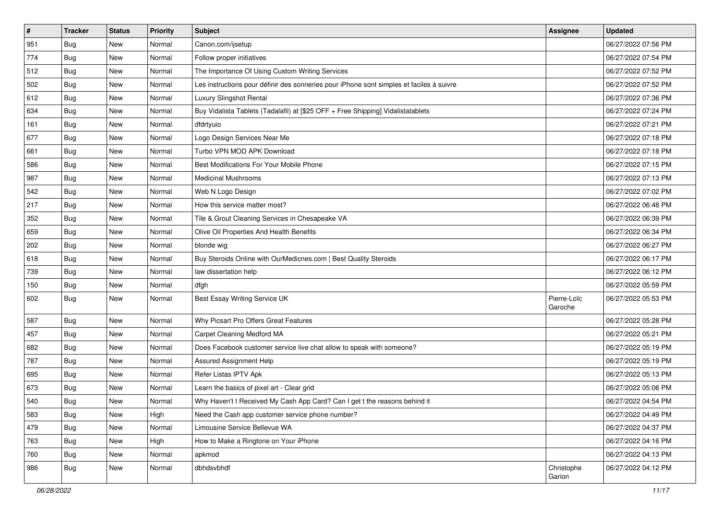| $\vert$ # | <b>Tracker</b> | <b>Status</b> | Priority | <b>Subject</b>                                                                           | <b>Assignee</b>        | <b>Updated</b>      |
|-----------|----------------|---------------|----------|------------------------------------------------------------------------------------------|------------------------|---------------------|
| 951       | <b>Bug</b>     | New           | Normal   | Canon.com/ijsetup                                                                        |                        | 06/27/2022 07:56 PM |
| 774       | Bug            | New           | Normal   | Follow proper initiatives                                                                |                        | 06/27/2022 07:54 PM |
| 512       | Bug            | New           | Normal   | The Importance Of Using Custom Writing Services                                          |                        | 06/27/2022 07:52 PM |
| 502       | <b>Bug</b>     | New           | Normal   | Les instructions pour définir des sonneries pour iPhone sont simples et faciles à suivre |                        | 06/27/2022 07:52 PM |
| 612       | Bug            | New           | Normal   | Luxury Slingshot Rental                                                                  |                        | 06/27/2022 07:36 PM |
| 634       | <b>Bug</b>     | New           | Normal   | Buy Vidalista Tablets (Tadalafil) at [\$25 OFF + Free Shipping] Vidalistatablets         |                        | 06/27/2022 07:24 PM |
| 161       | Bug            | New           | Normal   | dfdrtyuio                                                                                |                        | 06/27/2022 07:21 PM |
| 677       | Bug            | New           | Normal   | Logo Design Services Near Me                                                             |                        | 06/27/2022 07:18 PM |
| 661       | <b>Bug</b>     | New           | Normal   | Turbo VPN MOD APK Download                                                               |                        | 06/27/2022 07:18 PM |
| 586       | Bug            | New           | Normal   | Best Modifications For Your Mobile Phone                                                 |                        | 06/27/2022 07:15 PM |
| 987       | Bug            | New           | Normal   | <b>Medicinal Mushrooms</b>                                                               |                        | 06/27/2022 07:13 PM |
| 542       | Bug            | New           | Normal   | Web N Logo Design                                                                        |                        | 06/27/2022 07:02 PM |
| 217       | Bug            | New           | Normal   | How this service matter most?                                                            |                        | 06/27/2022 06:48 PM |
| 352       | <b>Bug</b>     | New           | Normal   | Tile & Grout Cleaning Services in Chesapeake VA                                          |                        | 06/27/2022 06:39 PM |
| 659       | Bug            | New           | Normal   | Olive Oil Properties And Health Benefits                                                 |                        | 06/27/2022 06:34 PM |
| 202       | Bug            | New           | Normal   | blonde wig                                                                               |                        | 06/27/2022 06:27 PM |
| 618       | <b>Bug</b>     | New           | Normal   | Buy Steroids Online with OurMedicnes.com   Best Quality Steroids                         |                        | 06/27/2022 06:17 PM |
| 739       | Bug            | New           | Normal   | law dissertation help                                                                    |                        | 06/27/2022 06:12 PM |
| 150       | <b>Bug</b>     | New           | Normal   | dfgh                                                                                     |                        | 06/27/2022 05:59 PM |
| 602       | Bug            | New           | Normal   | Best Essay Writing Service UK                                                            | Pierre-Loïc<br>Garoche | 06/27/2022 05:53 PM |
| 587       | Bug            | <b>New</b>    | Normal   | Why Picsart Pro Offers Great Features                                                    |                        | 06/27/2022 05:28 PM |
| 457       | Bug            | New           | Normal   | Carpet Cleaning Medford MA                                                               |                        | 06/27/2022 05:21 PM |
| 682       | Bug            | New           | Normal   | Does Facebook customer service live chat allow to speak with someone?                    |                        | 06/27/2022 05:19 PM |
| 787       | Bug            | New           | Normal   | Assured Assignment Help                                                                  |                        | 06/27/2022 05:19 PM |
| 695       | <b>Bug</b>     | New           | Normal   | Refer Listas IPTV Apk                                                                    |                        | 06/27/2022 05:13 PM |
| 673       | <b>Bug</b>     | New           | Normal   | Learn the basics of pixel art - Clear grid                                               |                        | 06/27/2022 05:06 PM |
| 540       | <b>Bug</b>     | New           | Normal   | Why Haven't I Received My Cash App Card? Can I get t the reasons behind it               |                        | 06/27/2022 04:54 PM |
| 583       | Bug            | New           | High     | Need the Cash app customer service phone number?                                         |                        | 06/27/2022 04:49 PM |
| 479       | Bug            | New           | Normal   | Limousine Service Bellevue WA                                                            |                        | 06/27/2022 04:37 PM |
| 763       | Bug            | New           | High     | How to Make a Ringtone on Your iPhone                                                    |                        | 06/27/2022 04:16 PM |
| 760       | Bug            | New           | Normal   | apkmod                                                                                   |                        | 06/27/2022 04:13 PM |
| 986       | <b>Bug</b>     | New           | Normal   | dbhdsvbhdf                                                                               | Christophe<br>Garion   | 06/27/2022 04:12 PM |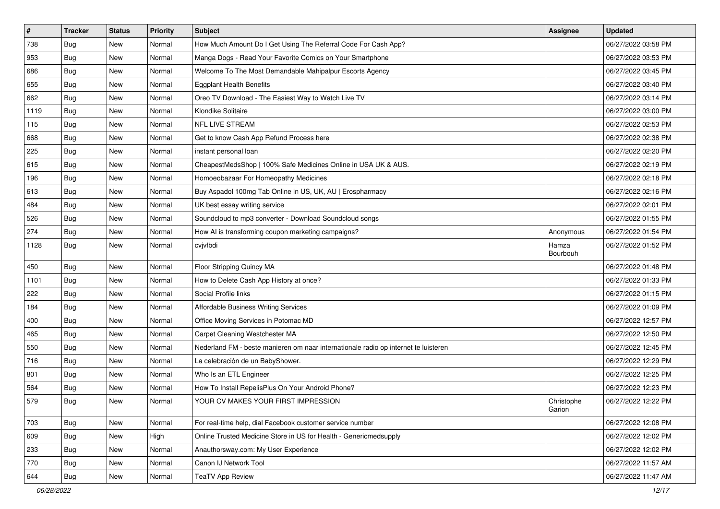| $\vert$ # | <b>Tracker</b> | <b>Status</b> | Priority | <b>Subject</b>                                                                      | <b>Assignee</b>      | <b>Updated</b>      |
|-----------|----------------|---------------|----------|-------------------------------------------------------------------------------------|----------------------|---------------------|
| 738       | Bug            | New           | Normal   | How Much Amount Do I Get Using The Referral Code For Cash App?                      |                      | 06/27/2022 03:58 PM |
| 953       | Bug            | New           | Normal   | Manga Dogs - Read Your Favorite Comics on Your Smartphone                           |                      | 06/27/2022 03:53 PM |
| 686       | <b>Bug</b>     | New           | Normal   | Welcome To The Most Demandable Mahipalpur Escorts Agency                            |                      | 06/27/2022 03:45 PM |
| 655       | Bug            | New           | Normal   | <b>Eggplant Health Benefits</b>                                                     |                      | 06/27/2022 03:40 PM |
| 662       | Bug            | New           | Normal   | Oreo TV Download - The Easiest Way to Watch Live TV                                 |                      | 06/27/2022 03:14 PM |
| 1119      | Bug            | New           | Normal   | Klondike Solitaire                                                                  |                      | 06/27/2022 03:00 PM |
| 115       | <b>Bug</b>     | New           | Normal   | <b>NFL LIVE STREAM</b>                                                              |                      | 06/27/2022 02:53 PM |
| 668       | Bug            | New           | Normal   | Get to know Cash App Refund Process here                                            |                      | 06/27/2022 02:38 PM |
| 225       | Bug            | New           | Normal   | instant personal loan                                                               |                      | 06/27/2022 02:20 PM |
| 615       | Bug            | New           | Normal   | CheapestMedsShop   100% Safe Medicines Online in USA UK & AUS.                      |                      | 06/27/2022 02:19 PM |
| 196       | <b>Bug</b>     | New           | Normal   | Homoeobazaar For Homeopathy Medicines                                               |                      | 06/27/2022 02:18 PM |
| 613       | <b>Bug</b>     | New           | Normal   | Buy Aspadol 100mg Tab Online in US, UK, AU   Erospharmacy                           |                      | 06/27/2022 02:16 PM |
| 484       | Bug            | New           | Normal   | UK best essay writing service                                                       |                      | 06/27/2022 02:01 PM |
| 526       | <b>Bug</b>     | New           | Normal   | Soundcloud to mp3 converter - Download Soundcloud songs                             |                      | 06/27/2022 01:55 PM |
| 274       | Bug            | New           | Normal   | How AI is transforming coupon marketing campaigns?                                  | Anonymous            | 06/27/2022 01:54 PM |
| 1128      | Bug            | New           | Normal   | cvjvfbdi                                                                            | Hamza<br>Bourbouh    | 06/27/2022 01:52 PM |
| 450       | Bug            | New           | Normal   | Floor Stripping Quincy MA                                                           |                      | 06/27/2022 01:48 PM |
| 1101      | Bug            | New           | Normal   | How to Delete Cash App History at once?                                             |                      | 06/27/2022 01:33 PM |
| 222       | Bug            | New           | Normal   | Social Profile links                                                                |                      | 06/27/2022 01:15 PM |
| 184       | Bug            | New           | Normal   | Affordable Business Writing Services                                                |                      | 06/27/2022 01:09 PM |
| 400       | <b>Bug</b>     | New           | Normal   | Office Moving Services in Potomac MD                                                |                      | 06/27/2022 12:57 PM |
| 465       | <b>Bug</b>     | New           | Normal   | Carpet Cleaning Westchester MA                                                      |                      | 06/27/2022 12:50 PM |
| 550       | Bug            | New           | Normal   | Nederland FM - beste manieren om naar internationale radio op internet te luisteren |                      | 06/27/2022 12:45 PM |
| 716       | <b>Bug</b>     | New           | Normal   | La celebración de un BabyShower.                                                    |                      | 06/27/2022 12:29 PM |
| 801       | Bug            | New           | Normal   | Who Is an ETL Engineer                                                              |                      | 06/27/2022 12:25 PM |
| 564       | <b>Bug</b>     | New           | Normal   | How To Install RepelisPlus On Your Android Phone?                                   |                      | 06/27/2022 12:23 PM |
| 579       | <b>Bug</b>     | New           | Normal   | YOUR CV MAKES YOUR FIRST IMPRESSION                                                 | Christophe<br>Garion | 06/27/2022 12:22 PM |
| 703       | Bug            | New           | Normal   | For real-time help, dial Facebook customer service number                           |                      | 06/27/2022 12:08 PM |
| 609       | Bug            | New           | High     | Online Trusted Medicine Store in US for Health - Genericmedsupply                   |                      | 06/27/2022 12:02 PM |
| 233       | Bug            | New           | Normal   | Anauthorsway.com: My User Experience                                                |                      | 06/27/2022 12:02 PM |
| 770       | <b>Bug</b>     | New           | Normal   | Canon IJ Network Tool                                                               |                      | 06/27/2022 11:57 AM |
| 644       | Bug            | New           | Normal   | <b>TeaTV App Review</b>                                                             |                      | 06/27/2022 11:47 AM |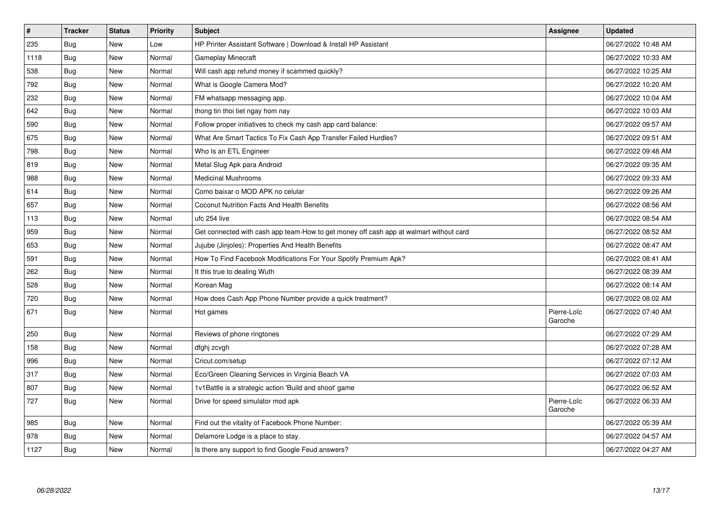| $\vert$ # | <b>Tracker</b> | <b>Status</b> | Priority | <b>Subject</b>                                                                         | Assignee               | <b>Updated</b>      |
|-----------|----------------|---------------|----------|----------------------------------------------------------------------------------------|------------------------|---------------------|
| 235       | Bug            | New           | Low      | HP Printer Assistant Software   Download & Install HP Assistant                        |                        | 06/27/2022 10:48 AM |
| 1118      | Bug            | New           | Normal   | Gameplay Minecraft                                                                     |                        | 06/27/2022 10:33 AM |
| 538       | <b>Bug</b>     | <b>New</b>    | Normal   | Will cash app refund money if scammed quickly?                                         |                        | 06/27/2022 10:25 AM |
| 792       | Bug            | <b>New</b>    | Normal   | What is Google Camera Mod?                                                             |                        | 06/27/2022 10:20 AM |
| 232       | Bug            | New           | Normal   | FM whatsapp messaging app.                                                             |                        | 06/27/2022 10:04 AM |
| 642       | Bug            | New           | Normal   | thong tin thoi tiet ngay hom nay                                                       |                        | 06/27/2022 10:03 AM |
| 590       | Bug            | <b>New</b>    | Normal   | Follow proper initiatives to check my cash app card balance:                           |                        | 06/27/2022 09:57 AM |
| 675       | Bug            | <b>New</b>    | Normal   | What Are Smart Tactics To Fix Cash App Transfer Failed Hurdles?                        |                        | 06/27/2022 09:51 AM |
| 798       | Bug            | New           | Normal   | Who Is an ETL Engineer                                                                 |                        | 06/27/2022 09:48 AM |
| 819       | <b>Bug</b>     | New           | Normal   | Metal Slug Apk para Android                                                            |                        | 06/27/2022 09:35 AM |
| 988       | Bug            | New           | Normal   | <b>Medicinal Mushrooms</b>                                                             |                        | 06/27/2022 09:33 AM |
| 614       | <b>Bug</b>     | <b>New</b>    | Normal   | Como baixar o MOD APK no celular                                                       |                        | 06/27/2022 09:26 AM |
| 657       | Bug            | <b>New</b>    | Normal   | <b>Coconut Nutrition Facts And Health Benefits</b>                                     |                        | 06/27/2022 08:56 AM |
| 113       | Bug            | New           | Normal   | ufc 254 live                                                                           |                        | 06/27/2022 08:54 AM |
| 959       | <b>Bug</b>     | New           | Normal   | Get connected with cash app team-How to get money off cash app at walmart without card |                        | 06/27/2022 08:52 AM |
| 653       | <b>Bug</b>     | <b>New</b>    | Normal   | Jujube (Jinjoles): Properties And Health Benefits                                      |                        | 06/27/2022 08:47 AM |
| 591       | Bug            | New           | Normal   | How To Find Facebook Modifications For Your Spotify Premium Apk?                       |                        | 06/27/2022 08:41 AM |
| 262       | Bug            | New           | Normal   | It this true to dealing Wuth                                                           |                        | 06/27/2022 08:39 AM |
| 528       | Bug            | New           | Normal   | Korean Mag                                                                             |                        | 06/27/2022 08:14 AM |
| 720       | Bug            | New           | Normal   | How does Cash App Phone Number provide a quick treatment?                              |                        | 06/27/2022 08:02 AM |
| 671       | Bug            | <b>New</b>    | Normal   | Hot games                                                                              | Pierre-Loïc<br>Garoche | 06/27/2022 07:40 AM |
| 250       | <b>Bug</b>     | <b>New</b>    | Normal   | Reviews of phone ringtones                                                             |                        | 06/27/2022 07:29 AM |
| 158       | <b>Bug</b>     | New           | Normal   | dfghj zcvgh                                                                            |                        | 06/27/2022 07:28 AM |
| 996       | Bug            | New           | Normal   | Cricut.com/setup                                                                       |                        | 06/27/2022 07:12 AM |
| 317       | Bug            | New           | Normal   | Eco/Green Cleaning Services in Virginia Beach VA                                       |                        | 06/27/2022 07:03 AM |
| 807       | Bug            | <b>New</b>    | Normal   | 1v1 Battle is a strategic action 'Build and shoot' game                                |                        | 06/27/2022 06:52 AM |
| 727       | Bug            | New           | Normal   | Drive for speed simulator mod apk                                                      | Pierre-Loïc<br>Garoche | 06/27/2022 06:33 AM |
| 985       | Bug            | New           | Normal   | Find out the vitality of Facebook Phone Number:                                        |                        | 06/27/2022 05:39 AM |
| 978       | Bug            | New           | Normal   | Delamore Lodge is a place to stay.                                                     |                        | 06/27/2022 04:57 AM |
| 1127      | <b>Bug</b>     | New           | Normal   | Is there any support to find Google Feud answers?                                      |                        | 06/27/2022 04:27 AM |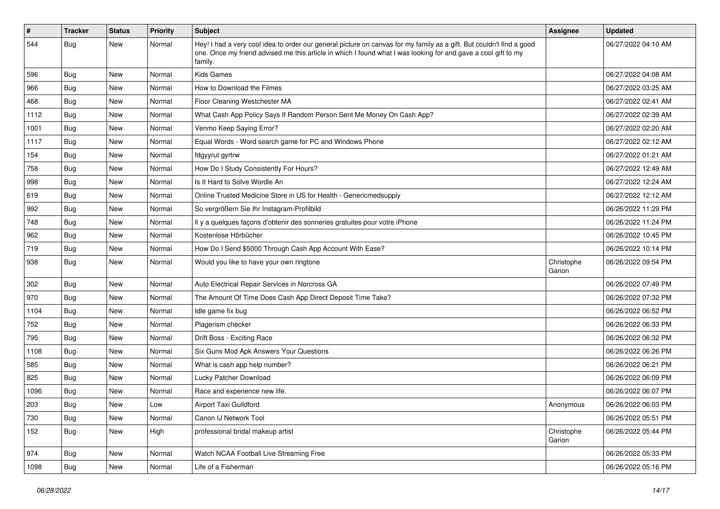| $\pmb{\#}$ | Tracker    | <b>Status</b> | <b>Priority</b> | <b>Subject</b>                                                                                                                                                                                                                                    | Assignee             | <b>Updated</b>      |
|------------|------------|---------------|-----------------|---------------------------------------------------------------------------------------------------------------------------------------------------------------------------------------------------------------------------------------------------|----------------------|---------------------|
| 544        | <b>Bug</b> | New           | Normal          | Hey! I had a very cool idea to order our general picture on canvas for my family as a gift. But couldn't find a good<br>one. Once my friend advised me this article in which I found what I was looking for and gave a cool gift to my<br>family. |                      | 06/27/2022 04:10 AM |
| 596        | Bug        | New           | Normal          | <b>Kids Games</b>                                                                                                                                                                                                                                 |                      | 06/27/2022 04:08 AM |
| 966        | Bug        | New           | Normal          | How to Download the Filmes                                                                                                                                                                                                                        |                      | 06/27/2022 03:25 AM |
| 468        | <b>Bug</b> | New           | Normal          | Floor Cleaning Westchester MA                                                                                                                                                                                                                     |                      | 06/27/2022 02:41 AM |
| 1112       | Bug        | New           | Normal          | What Cash App Policy Says If Random Person Sent Me Money On Cash App?                                                                                                                                                                             |                      | 06/27/2022 02:39 AM |
| 1001       | Bug        | New           | Normal          | Venmo Keep Saying Error?                                                                                                                                                                                                                          |                      | 06/27/2022 02:20 AM |
| 1117       | Bug        | New           | Normal          | Equal Words - Word search game for PC and Windows Phone                                                                                                                                                                                           |                      | 06/27/2022 02:12 AM |
| 154        | Bug        | <b>New</b>    | Normal          | fdgyyrut gyrtrw                                                                                                                                                                                                                                   |                      | 06/27/2022 01:21 AM |
| 758        | Bug        | New           | Normal          | How Do I Study Consistently For Hours?                                                                                                                                                                                                            |                      | 06/27/2022 12:49 AM |
| 998        | Bug        | New           | Normal          | Is It Hard to Solve Wordle An                                                                                                                                                                                                                     |                      | 06/27/2022 12:24 AM |
| 619        | Bug        | New           | Normal          | Online Trusted Medicine Store in US for Health - Genericmedsupply                                                                                                                                                                                 |                      | 06/27/2022 12:12 AM |
| 992        | <b>Bug</b> | New           | Normal          | So vergrößern Sie Ihr Instagram-Profilbild                                                                                                                                                                                                        |                      | 06/26/2022 11:29 PM |
| 748        | Bug        | New           | Normal          | Il y a quelques façons d'obtenir des sonneries gratuites pour votre iPhone                                                                                                                                                                        |                      | 06/26/2022 11:24 PM |
| 962        | Bug        | New           | Normal          | Kostenlose Hörbücher                                                                                                                                                                                                                              |                      | 06/26/2022 10:45 PM |
| 719        | <b>Bug</b> | New           | Normal          | How Do I Send \$5000 Through Cash App Account With Ease?                                                                                                                                                                                          |                      | 06/26/2022 10:14 PM |
| 938        | Bug        | New           | Normal          | Would you like to have your own ringtone                                                                                                                                                                                                          | Christophe<br>Garion | 06/26/2022 09:54 PM |
| 302        | Bug        | New           | Normal          | Auto Electrical Repair Services in Norcross GA                                                                                                                                                                                                    |                      | 06/26/2022 07:49 PM |
| 970        | Bug        | New           | Normal          | The Amount Of Time Does Cash App Direct Deposit Time Take?                                                                                                                                                                                        |                      | 06/26/2022 07:32 PM |
| 1104       | Bug        | New           | Normal          | Idle game fix bug                                                                                                                                                                                                                                 |                      | 06/26/2022 06:52 PM |
| 752        | Bug        | <b>New</b>    | Normal          | Plagerism checker                                                                                                                                                                                                                                 |                      | 06/26/2022 06:33 PM |
| 795        | Bug        | New           | Normal          | Drift Boss - Exciting Race                                                                                                                                                                                                                        |                      | 06/26/2022 06:32 PM |
| 1108       | <b>Bug</b> | New           | Normal          | Six Guns Mod Apk Answers Your Questions                                                                                                                                                                                                           |                      | 06/26/2022 06:26 PM |
| 585        | Bug        | New           | Normal          | What is cash app help number?                                                                                                                                                                                                                     |                      | 06/26/2022 06:21 PM |
| 825        | Bug        | New           | Normal          | Lucky Patcher Download                                                                                                                                                                                                                            |                      | 06/26/2022 06:09 PM |
| 1096       | <b>Bug</b> | New           | Normal          | Race and experience new life.                                                                                                                                                                                                                     |                      | 06/26/2022 06:07 PM |
| 203        | Bug        | New           | Low             | Airport Taxi Guildford                                                                                                                                                                                                                            | Anonymous            | 06/26/2022 06:03 PM |
| 730        | Bug        | New           | Normal          | Canon IJ Network Tool                                                                                                                                                                                                                             |                      | 06/26/2022 05:51 PM |
| 152        | Bug        | New           | High            | professional bridal makeup artist                                                                                                                                                                                                                 | Christophe<br>Garion | 06/26/2022 05:44 PM |
| 974        | Bug        | New           | Normal          | Watch NCAA Football Live Streaming Free                                                                                                                                                                                                           |                      | 06/26/2022 05:33 PM |
| 1098       | <b>Bug</b> | New           | Normal          | Life of a Fisherman                                                                                                                                                                                                                               |                      | 06/26/2022 05:16 PM |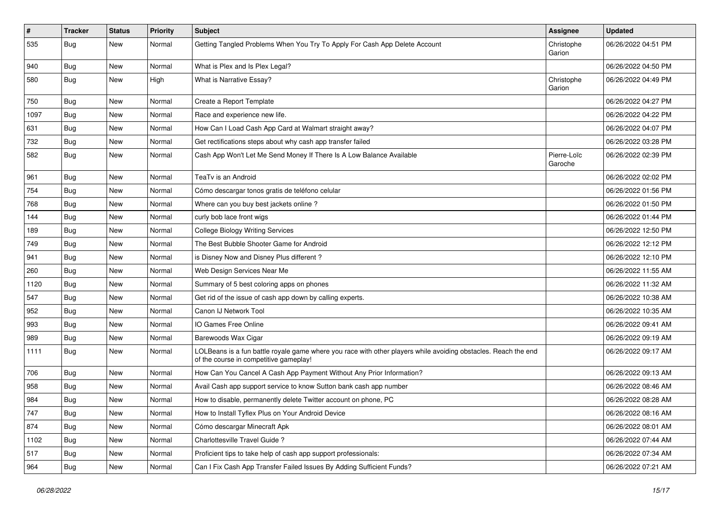| $\vert$ # | <b>Tracker</b> | <b>Status</b> | <b>Priority</b> | <b>Subject</b>                                                                                                                                           | <b>Assignee</b>        | <b>Updated</b>      |
|-----------|----------------|---------------|-----------------|----------------------------------------------------------------------------------------------------------------------------------------------------------|------------------------|---------------------|
| 535       | <b>Bug</b>     | New           | Normal          | Getting Tangled Problems When You Try To Apply For Cash App Delete Account                                                                               | Christophe<br>Garion   | 06/26/2022 04:51 PM |
| 940       | Bug            | New           | Normal          | What is Plex and Is Plex Legal?                                                                                                                          |                        | 06/26/2022 04:50 PM |
| 580       | Bug            | New           | High            | What is Narrative Essay?                                                                                                                                 | Christophe<br>Garion   | 06/26/2022 04:49 PM |
| 750       | Bug            | New           | Normal          | Create a Report Template                                                                                                                                 |                        | 06/26/2022 04:27 PM |
| 1097      | <b>Bug</b>     | New           | Normal          | Race and experience new life.                                                                                                                            |                        | 06/26/2022 04:22 PM |
| 631       | <b>Bug</b>     | New           | Normal          | How Can I Load Cash App Card at Walmart straight away?                                                                                                   |                        | 06/26/2022 04:07 PM |
| 732       | Bug            | New           | Normal          | Get rectifications steps about why cash app transfer failed                                                                                              |                        | 06/26/2022 03:28 PM |
| 582       | Bug            | New           | Normal          | Cash App Won't Let Me Send Money If There Is A Low Balance Available                                                                                     | Pierre-Loïc<br>Garoche | 06/26/2022 02:39 PM |
| 961       | Bug            | New           | Normal          | TeaTv is an Android                                                                                                                                      |                        | 06/26/2022 02:02 PM |
| 754       | Bug            | New           | Normal          | Cómo descargar tonos gratis de teléfono celular                                                                                                          |                        | 06/26/2022 01:56 PM |
| 768       | Bug            | New           | Normal          | Where can you buy best jackets online?                                                                                                                   |                        | 06/26/2022 01:50 PM |
| 144       | Bug            | New           | Normal          | curly bob lace front wigs                                                                                                                                |                        | 06/26/2022 01:44 PM |
| 189       | <b>Bug</b>     | New           | Normal          | <b>College Biology Writing Services</b>                                                                                                                  |                        | 06/26/2022 12:50 PM |
| 749       | Bug            | New           | Normal          | The Best Bubble Shooter Game for Android                                                                                                                 |                        | 06/26/2022 12:12 PM |
| 941       | Bug            | New           | Normal          | is Disney Now and Disney Plus different?                                                                                                                 |                        | 06/26/2022 12:10 PM |
| 260       | <b>Bug</b>     | New           | Normal          | Web Design Services Near Me                                                                                                                              |                        | 06/26/2022 11:55 AM |
| 1120      | <b>Bug</b>     | New           | Normal          | Summary of 5 best coloring apps on phones                                                                                                                |                        | 06/26/2022 11:32 AM |
| 547       | Bug            | New           | Normal          | Get rid of the issue of cash app down by calling experts.                                                                                                |                        | 06/26/2022 10:38 AM |
| 952       | <b>Bug</b>     | New           | Normal          | Canon IJ Network Tool                                                                                                                                    |                        | 06/26/2022 10:35 AM |
| 993       | Bug            | New           | Normal          | IO Games Free Online                                                                                                                                     |                        | 06/26/2022 09:41 AM |
| 989       | <b>Bug</b>     | New           | Normal          | Barewoods Wax Cigar                                                                                                                                      |                        | 06/26/2022 09:19 AM |
| 1111      | Bug            | New           | Normal          | LOLBeans is a fun battle royale game where you race with other players while avoiding obstacles. Reach the end<br>of the course in competitive gameplay! |                        | 06/26/2022 09:17 AM |
| 706       | Bug            | New           | Normal          | How Can You Cancel A Cash App Payment Without Any Prior Information?                                                                                     |                        | 06/26/2022 09:13 AM |
| 958       | <b>Bug</b>     | New           | Normal          | Avail Cash app support service to know Sutton bank cash app number                                                                                       |                        | 06/26/2022 08:46 AM |
| 984       | <b>Bug</b>     | New           | Normal          | How to disable, permanently delete Twitter account on phone, PC                                                                                          |                        | 06/26/2022 08:28 AM |
| 747       | <b>Bug</b>     | New           | Normal          | How to Install Tyflex Plus on Your Android Device                                                                                                        |                        | 06/26/2022 08:16 AM |
| 874       | Bug            | New           | Normal          | Cómo descargar Minecraft Apk                                                                                                                             |                        | 06/26/2022 08:01 AM |
| 1102      | <b>Bug</b>     | New           | Normal          | Charlottesville Travel Guide?                                                                                                                            |                        | 06/26/2022 07:44 AM |
| 517       | <b>Bug</b>     | New           | Normal          | Proficient tips to take help of cash app support professionals:                                                                                          |                        | 06/26/2022 07:34 AM |
| 964       | Bug            | New           | Normal          | Can I Fix Cash App Transfer Failed Issues By Adding Sufficient Funds?                                                                                    |                        | 06/26/2022 07:21 AM |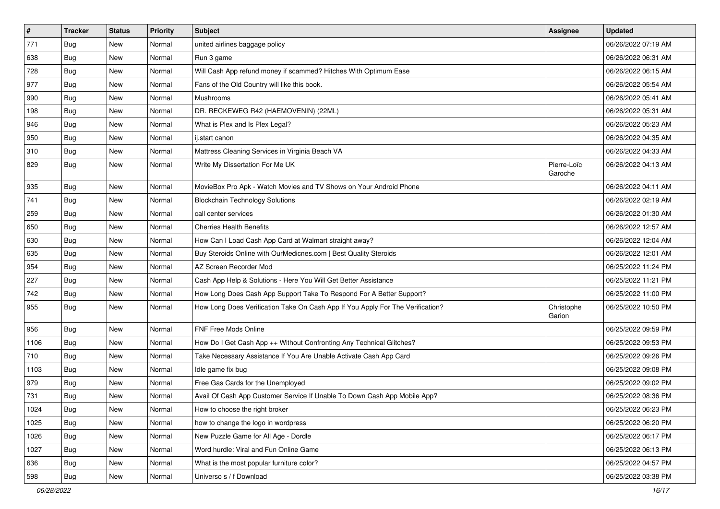| $\vert$ # | <b>Tracker</b> | <b>Status</b> | Priority | <b>Subject</b>                                                                 | <b>Assignee</b>        | <b>Updated</b>      |
|-----------|----------------|---------------|----------|--------------------------------------------------------------------------------|------------------------|---------------------|
| 771       | <b>Bug</b>     | New           | Normal   | united airlines baggage policy                                                 |                        | 06/26/2022 07:19 AM |
| 638       | Bug            | New           | Normal   | Run 3 game                                                                     |                        | 06/26/2022 06:31 AM |
| 728       | Bug            | New           | Normal   | Will Cash App refund money if scammed? Hitches With Optimum Ease               |                        | 06/26/2022 06:15 AM |
| 977       | <b>Bug</b>     | New           | Normal   | Fans of the Old Country will like this book.                                   |                        | 06/26/2022 05:54 AM |
| 990       | Bug            | New           | Normal   | Mushrooms                                                                      |                        | 06/26/2022 05:41 AM |
| 198       | Bug            | New           | Normal   | DR. RECKEWEG R42 (HAEMOVENIN) (22ML)                                           |                        | 06/26/2022 05:31 AM |
| 946       | Bug            | New           | Normal   | What is Plex and Is Plex Legal?                                                |                        | 06/26/2022 05:23 AM |
| 950       | Bug            | New           | Normal   | ij.start canon                                                                 |                        | 06/26/2022 04:35 AM |
| 310       | Bug            | New           | Normal   | Mattress Cleaning Services in Virginia Beach VA                                |                        | 06/26/2022 04:33 AM |
| 829       | Bug            | New           | Normal   | Write My Dissertation For Me UK                                                | Pierre-Loïc<br>Garoche | 06/26/2022 04:13 AM |
| 935       | <b>Bug</b>     | New           | Normal   | MovieBox Pro Apk - Watch Movies and TV Shows on Your Android Phone             |                        | 06/26/2022 04:11 AM |
| 741       | Bug            | New           | Normal   | <b>Blockchain Technology Solutions</b>                                         |                        | 06/26/2022 02:19 AM |
| 259       | <b>Bug</b>     | New           | Normal   | call center services                                                           |                        | 06/26/2022 01:30 AM |
| 650       | <b>Bug</b>     | New           | Normal   | <b>Cherries Health Benefits</b>                                                |                        | 06/26/2022 12:57 AM |
| 630       | Bug            | New           | Normal   | How Can I Load Cash App Card at Walmart straight away?                         |                        | 06/26/2022 12:04 AM |
| 635       | Bug            | New           | Normal   | Buy Steroids Online with OurMedicnes.com   Best Quality Steroids               |                        | 06/26/2022 12:01 AM |
| 954       | Bug            | New           | Normal   | AZ Screen Recorder Mod                                                         |                        | 06/25/2022 11:24 PM |
| 227       | Bug            | New           | Normal   | Cash App Help & Solutions - Here You Will Get Better Assistance                |                        | 06/25/2022 11:21 PM |
| 742       | Bug            | New           | Normal   | How Long Does Cash App Support Take To Respond For A Better Support?           |                        | 06/25/2022 11:00 PM |
| 955       | Bug            | <b>New</b>    | Normal   | How Long Does Verification Take On Cash App If You Apply For The Verification? | Christophe<br>Garion   | 06/25/2022 10:50 PM |
| 956       | Bug            | <b>New</b>    | Normal   | FNF Free Mods Online                                                           |                        | 06/25/2022 09:59 PM |
| 1106      | Bug            | New           | Normal   | How Do I Get Cash App ++ Without Confronting Any Technical Glitches?           |                        | 06/25/2022 09:53 PM |
| 710       | Bug            | New           | Normal   | Take Necessary Assistance If You Are Unable Activate Cash App Card             |                        | 06/25/2022 09:26 PM |
| 1103      | Bug            | New           | Normal   | Idle game fix bug                                                              |                        | 06/25/2022 09:08 PM |
| 979       | <b>Bug</b>     | New           | Normal   | Free Gas Cards for the Unemployed                                              |                        | 06/25/2022 09:02 PM |
| 731       | Bug            | New           | Normal   | Avail Of Cash App Customer Service If Unable To Down Cash App Mobile App?      |                        | 06/25/2022 08:36 PM |
| 1024      | Bug            | New           | Normal   | How to choose the right broker                                                 |                        | 06/25/2022 06:23 PM |
| 1025      | Bug            | New           | Normal   | how to change the logo in wordpress                                            |                        | 06/25/2022 06:20 PM |
| 1026      | Bug            | New           | Normal   | New Puzzle Game for All Age - Dordle                                           |                        | 06/25/2022 06:17 PM |
| 1027      | Bug            | New           | Normal   | Word hurdle: Viral and Fun Online Game                                         |                        | 06/25/2022 06:13 PM |
| 636       | <b>Bug</b>     | New           | Normal   | What is the most popular furniture color?                                      |                        | 06/25/2022 04:57 PM |
| 598       | <b>Bug</b>     | New           | Normal   | Universo s / f Download                                                        |                        | 06/25/2022 03:38 PM |